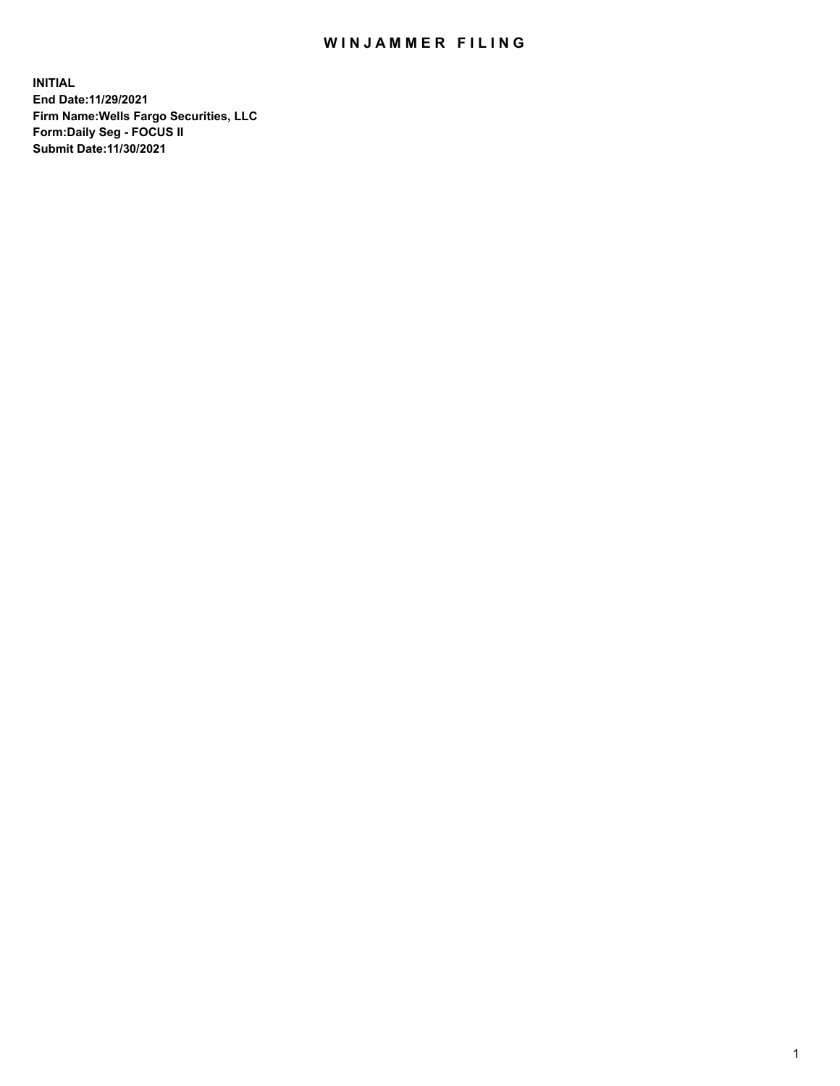## WIN JAMMER FILING

**INITIAL End Date:11/29/2021 Firm Name:Wells Fargo Securities, LLC Form:Daily Seg - FOCUS II Submit Date:11/30/2021**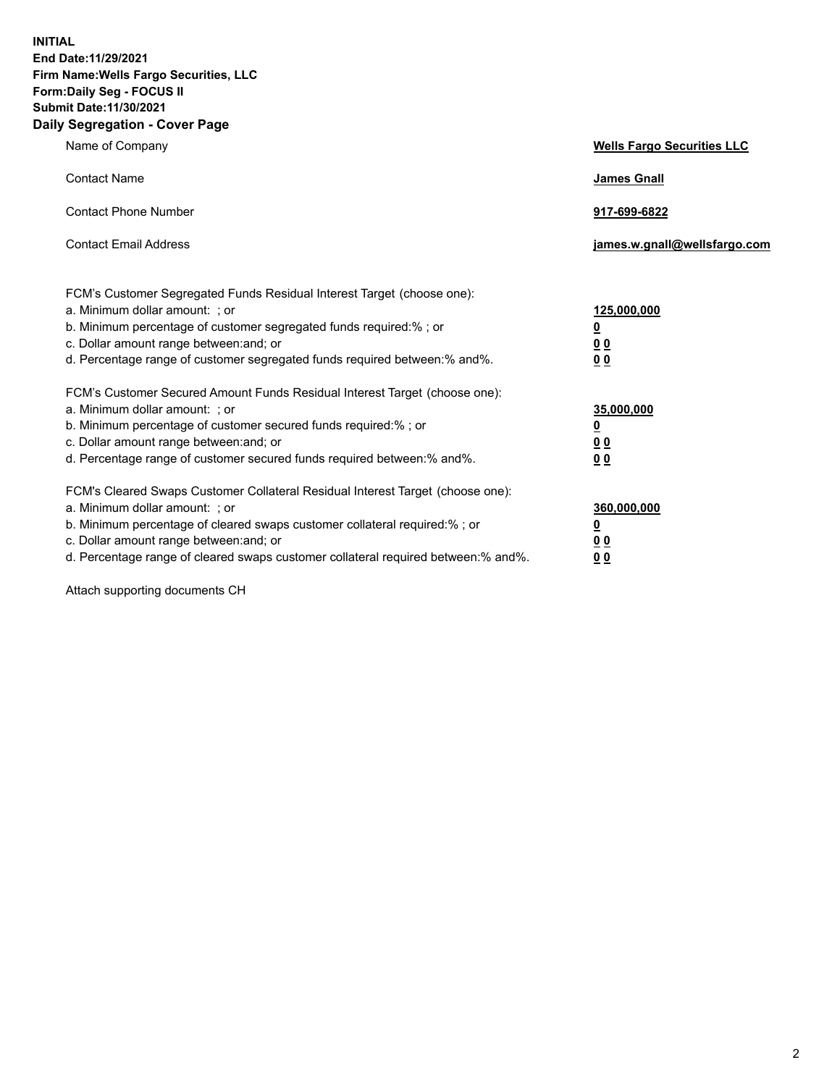**INITIAL End Date:11/29/2021 Firm Name:Wells Fargo Securities, LLC Form:Daily Seg - FOCUS II Submit Date:11/30/2021 Daily Segregation - Cover Page**

| Name of Company                                                                                                                                                                                                                                                                                                                | <b>Wells Fargo Securities LLC</b>                             |
|--------------------------------------------------------------------------------------------------------------------------------------------------------------------------------------------------------------------------------------------------------------------------------------------------------------------------------|---------------------------------------------------------------|
| <b>Contact Name</b>                                                                                                                                                                                                                                                                                                            | <b>James Gnall</b>                                            |
| <b>Contact Phone Number</b>                                                                                                                                                                                                                                                                                                    | 917-699-6822                                                  |
| <b>Contact Email Address</b>                                                                                                                                                                                                                                                                                                   | james.w.gnall@wellsfargo.com                                  |
| FCM's Customer Segregated Funds Residual Interest Target (choose one):<br>a. Minimum dollar amount: ; or<br>b. Minimum percentage of customer segregated funds required:% ; or<br>c. Dollar amount range between: and; or<br>d. Percentage range of customer segregated funds required between:% and%.                         | 125,000,000<br><u>0</u><br>0 <sub>0</sub><br>0 <sub>0</sub>   |
| FCM's Customer Secured Amount Funds Residual Interest Target (choose one):<br>a. Minimum dollar amount: ; or<br>b. Minimum percentage of customer secured funds required:%; or<br>c. Dollar amount range between: and; or<br>d. Percentage range of customer secured funds required between:% and%.                            | 35,000,000<br>$\overline{\mathbf{0}}$<br>00<br>0 <sub>0</sub> |
| FCM's Cleared Swaps Customer Collateral Residual Interest Target (choose one):<br>a. Minimum dollar amount: ; or<br>b. Minimum percentage of cleared swaps customer collateral required:% ; or<br>c. Dollar amount range between: and; or<br>d. Percentage range of cleared swaps customer collateral required between:% and%. | 360,000,000<br><u>0</u><br>00<br>00                           |

Attach supporting documents CH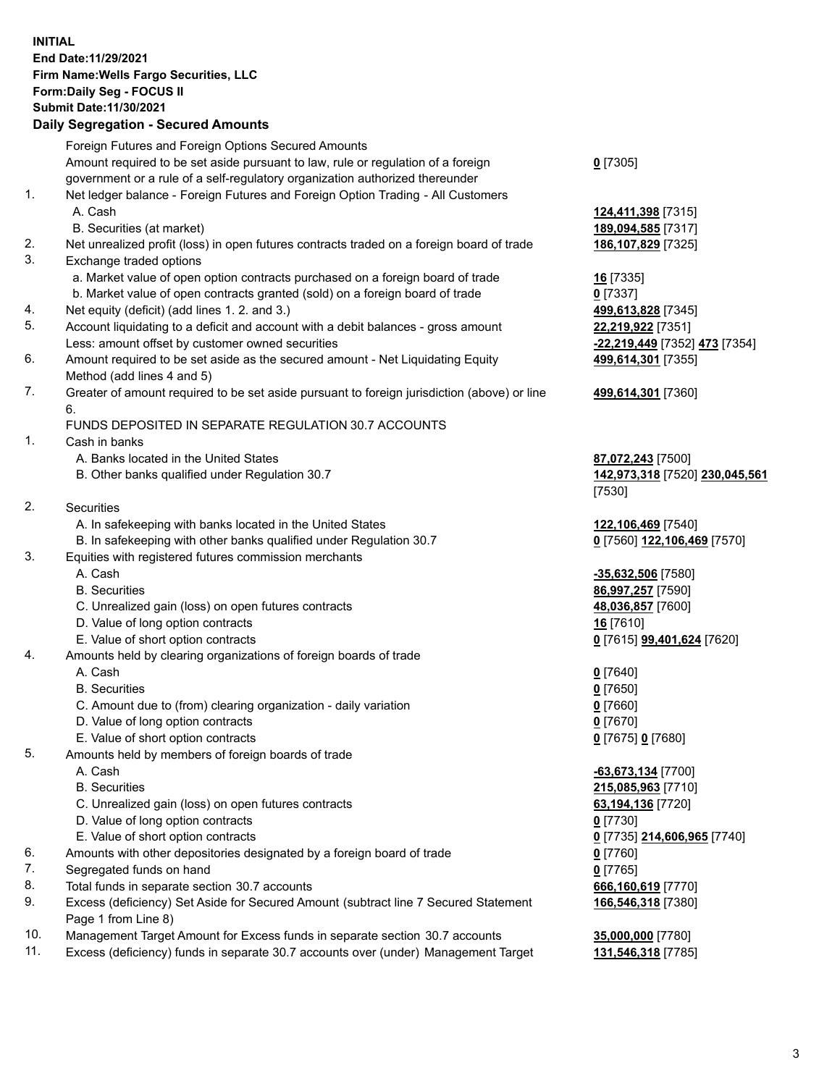**INITIAL End Date:11/29/2021 Firm Name:Wells Fargo Securities, LLC Form:Daily Seg - FOCUS II Submit Date:11/30/2021**

## **Daily Segregation - Secured Amounts**

|     | Foreign Futures and Foreign Options Secured Amounts                                         |                                                   |
|-----|---------------------------------------------------------------------------------------------|---------------------------------------------------|
|     | Amount required to be set aside pursuant to law, rule or regulation of a foreign            | $0$ [7305]                                        |
|     | government or a rule of a self-regulatory organization authorized thereunder                |                                                   |
| 1.  | Net ledger balance - Foreign Futures and Foreign Option Trading - All Customers             |                                                   |
|     | A. Cash                                                                                     | 124,411,398 [7315]                                |
|     | B. Securities (at market)                                                                   | 189,094,585 [7317]                                |
| 2.  | Net unrealized profit (loss) in open futures contracts traded on a foreign board of trade   | 186,107,829 [7325]                                |
| 3.  | Exchange traded options                                                                     |                                                   |
|     | a. Market value of open option contracts purchased on a foreign board of trade              | 16 [7335]                                         |
|     | b. Market value of open contracts granted (sold) on a foreign board of trade                | $0$ [7337]                                        |
| 4.  | Net equity (deficit) (add lines 1. 2. and 3.)                                               | 499,613,828 [7345]                                |
| 5.  | Account liquidating to a deficit and account with a debit balances - gross amount           | 22,219,922 [7351]                                 |
|     | Less: amount offset by customer owned securities                                            | -22,219,449 [7352] 473 [7354]                     |
| 6.  | Amount required to be set aside as the secured amount - Net Liquidating Equity              | 499,614,301 [7355]                                |
|     | Method (add lines 4 and 5)                                                                  |                                                   |
| 7.  | Greater of amount required to be set aside pursuant to foreign jurisdiction (above) or line | 499,614,301 [7360]                                |
|     | 6.                                                                                          |                                                   |
|     | FUNDS DEPOSITED IN SEPARATE REGULATION 30.7 ACCOUNTS                                        |                                                   |
| 1.  | Cash in banks                                                                               |                                                   |
|     | A. Banks located in the United States                                                       | 87,072,243 [7500]                                 |
|     | B. Other banks qualified under Regulation 30.7                                              | 142,973,318 [7520] 230,045,561                    |
|     |                                                                                             | [7530]                                            |
| 2.  | Securities                                                                                  |                                                   |
|     | A. In safekeeping with banks located in the United States                                   | 122,106,469 [7540]                                |
|     | B. In safekeeping with other banks qualified under Regulation 30.7                          | 0 [7560] 122,106,469 [7570]                       |
| 3.  | Equities with registered futures commission merchants                                       |                                                   |
|     | A. Cash                                                                                     | -35,632,506 [7580]                                |
|     | <b>B.</b> Securities                                                                        | 86,997,257 [7590]                                 |
|     | C. Unrealized gain (loss) on open futures contracts                                         | 48,036,857 [7600]                                 |
|     | D. Value of long option contracts                                                           | 16 [7610]                                         |
|     | E. Value of short option contracts                                                          | 0 [7615] 99,401,624 [7620]                        |
| 4.  | Amounts held by clearing organizations of foreign boards of trade                           |                                                   |
|     | A. Cash                                                                                     | $0$ [7640]                                        |
|     | <b>B.</b> Securities                                                                        | $0$ [7650]                                        |
|     | C. Amount due to (from) clearing organization - daily variation                             | $0$ [7660]                                        |
|     | D. Value of long option contracts                                                           | $0$ [7670]                                        |
|     | E. Value of short option contracts                                                          | 0 [7675] 0 [7680]                                 |
| 5.  | Amounts held by members of foreign boards of trade                                          |                                                   |
|     | A. Cash                                                                                     | <u>-63,673,134</u> [7700]                         |
|     | <b>B.</b> Securities                                                                        | 215,085,963 [7710]                                |
|     | C. Unrealized gain (loss) on open futures contracts                                         | 63,194,136 [7720]                                 |
|     | D. Value of long option contracts                                                           | $0$ [7730]                                        |
|     | E. Value of short option contracts                                                          | 0 <sup>[7735]</sup> 214,606,965 <sup>[7740]</sup> |
| 6.  | Amounts with other depositories designated by a foreign board of trade                      | $0$ [7760]                                        |
| 7.  | Segregated funds on hand                                                                    | $0$ [7765]                                        |
| 8.  | Total funds in separate section 30.7 accounts                                               | 666,160,619 [7770]                                |
| 9.  | Excess (deficiency) Set Aside for Secured Amount (subtract line 7 Secured Statement         | 166,546,318 [7380]                                |
|     | Page 1 from Line 8)                                                                         |                                                   |
| 10. | Management Target Amount for Excess funds in separate section 30.7 accounts                 | 35,000,000 [7780]                                 |

11. Excess (deficiency) funds in separate 30.7 accounts over (under) Management Target **131,546,318** [7785]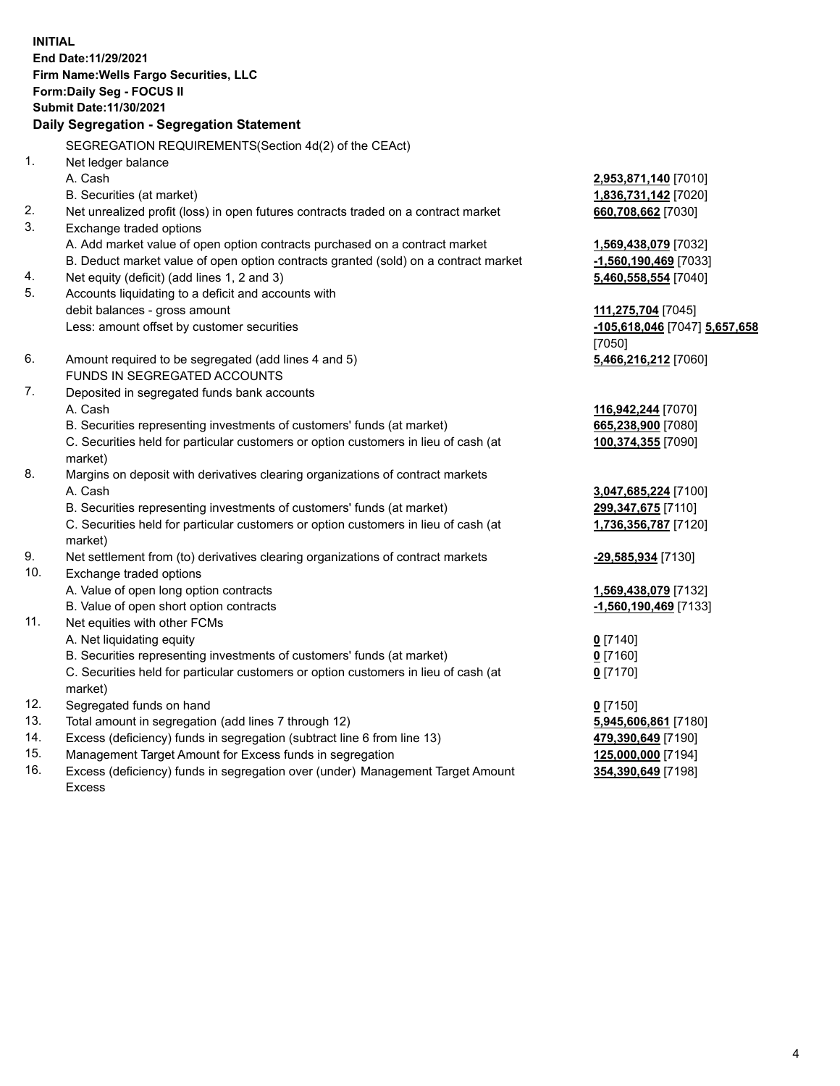**INITIAL End Date:11/29/2021 Firm Name:Wells Fargo Securities, LLC Form:Daily Seg - FOCUS II Submit Date:11/30/2021 Daily Segregation - Segregation Statement** SEGREGATION REQUIREMENTS(Section 4d(2) of the CEAct)

| 1.  | Net ledger balance                                                                  |                               |
|-----|-------------------------------------------------------------------------------------|-------------------------------|
|     | A. Cash                                                                             | 2,953,871,140 [7010]          |
|     | B. Securities (at market)                                                           | 1,836,731,142 [7020]          |
| 2.  | Net unrealized profit (loss) in open futures contracts traded on a contract market  | 660,708,662 [7030]            |
| 3.  | Exchange traded options                                                             |                               |
|     | A. Add market value of open option contracts purchased on a contract market         | 1,569,438,079 [7032]          |
|     | B. Deduct market value of open option contracts granted (sold) on a contract market | $-1,560,190,469$ [7033]       |
| 4.  | Net equity (deficit) (add lines 1, 2 and 3)                                         | 5,460,558,554 [7040]          |
| 5.  | Accounts liquidating to a deficit and accounts with                                 |                               |
|     | debit balances - gross amount                                                       | 111,275,704 [7045]            |
|     | Less: amount offset by customer securities                                          | -105,618,046 [7047] 5,657,658 |
|     |                                                                                     | [7050]                        |
| 6.  | Amount required to be segregated (add lines 4 and 5)                                | 5,466,216,212 [7060]          |
|     | FUNDS IN SEGREGATED ACCOUNTS                                                        |                               |
| 7.  | Deposited in segregated funds bank accounts                                         |                               |
|     | A. Cash                                                                             | 116,942,244 [7070]            |
|     | B. Securities representing investments of customers' funds (at market)              | 665,238,900 [7080]            |
|     | C. Securities held for particular customers or option customers in lieu of cash (at | 100,374,355 [7090]            |
|     | market)                                                                             |                               |
| 8.  | Margins on deposit with derivatives clearing organizations of contract markets      |                               |
|     | A. Cash                                                                             | 3,047,685,224 [7100]          |
|     | B. Securities representing investments of customers' funds (at market)              | 299, 347, 675 [7110]          |
|     | C. Securities held for particular customers or option customers in lieu of cash (at | 1,736,356,787 [7120]          |
|     | market)                                                                             |                               |
| 9.  | Net settlement from (to) derivatives clearing organizations of contract markets     | -29,585,934 [7130]            |
| 10. | Exchange traded options                                                             |                               |
|     | A. Value of open long option contracts                                              | 1,569,438,079 [7132]          |
|     | B. Value of open short option contracts                                             | -1,560,190,469 [7133]         |
| 11. | Net equities with other FCMs                                                        |                               |
|     | A. Net liquidating equity                                                           | $0$ [7140]                    |
|     | B. Securities representing investments of customers' funds (at market)              | $0$ [7160]                    |
|     | C. Securities held for particular customers or option customers in lieu of cash (at | $0$ [7170]                    |
|     | market)                                                                             |                               |
| 12. | Segregated funds on hand                                                            | $0$ [7150]                    |
| 13. | Total amount in segregation (add lines 7 through 12)                                | 5,945,606,861 [7180]          |
| 14. | Excess (deficiency) funds in segregation (subtract line 6 from line 13)             | 479,390,649 [7190]            |
| 15. | Management Target Amount for Excess funds in segregation                            | 125,000,000 [7194]            |
| 16. | Excess (deficiency) funds in segregation over (under) Management Target Amount      | 354,390,649 [7198]            |
|     | <b>Excess</b>                                                                       |                               |